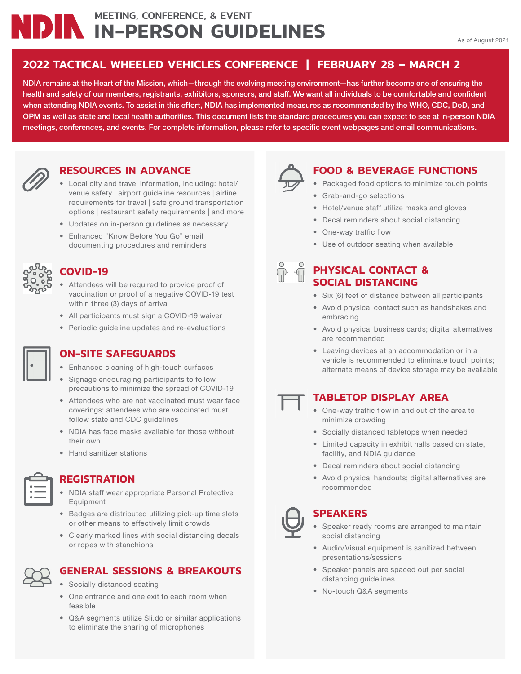## MEETING, CONFERENCE, & EVENT **IN-PERSON GUIDELINES**

#### **2022 TACTICAL WHEELED VEHICLES CONFERENCE | FEBRUARY 28 – MARCH 2**

**NDIA remains at the Heart of the Mission, which—through the evolving meeting environment—has further become one of ensuring the** health and safety of our members, registrants, exhibitors, sponsors, and staff. We want all individuals to be comfortable and confident **when attending NDIA events. To assist in this effort, NDIA has implemented measures as recommended by the WHO, CDC, DoD, and OPM as well as state and local health authorities. This document lists the standard procedures you can expect to see at in-person NDIA**  meetings, conferences, and events. For complete information, please refer to specific event webpages and email communications.



#### **RESOURCES IN ADVANCE**

- Local city and travel information, including: hotel/ venue safety | airport guideline resources | airline requirements for travel | safe ground transportation options | restaurant safety requirements | and more
- Updates on in-person guidelines as necessary
- Enhanced "Know Before You Go" email documenting procedures and reminders



#### **COVID-19**

- Attendees will be required to provide proof of vaccination or proof of a negative COVID-19 test within three (3) days of arrival
- All participants must sign a COVID-19 waiver
- Periodic guideline updates and re-evaluations



#### **ON-SITE SAFEGUARDS**

- Enhanced cleaning of high-touch surfaces
- Signage encouraging participants to follow precautions to minimize the spread of COVID-19
- Attendees who are not vaccinated must wear face coverings; attendees who are vaccinated must follow state and CDC guidelines
- NDIA has face masks available for those without their own
- Hand sanitizer stations



#### **REGISTRATION**

- NDIA staff wear appropriate Personal Protective Equipment
- Badges are distributed utilizing pick-up time slots or other means to effectively limit crowds
- Clearly marked lines with social distancing decals or ropes with stanchions

#### **GENERAL SESSIONS & BREAKOUTS**

- Socially distanced seating
- One entrance and one exit to each room when feasible
- Q&A segments utilize Sli.do or similar applications to eliminate the sharing of microphones



#### **FOOD & BEVERAGE FUNCTIONS**

- Packaged food options to minimize touch points
- Grab-and-go selections
- Hotel/venue staff utilize masks and gloves
- Decal reminders about social distancing
- One-way traffic flow
- Use of outdoor seating when available

# **PHYSICAL CONTACT &**

### **SOCIAL DISTANCING**

- Six (6) feet of distance between all participants
- Avoid physical contact such as handshakes and embracing
- Avoid physical business cards; digital alternatives are recommended
- Leaving devices at an accommodation or in a vehicle is recommended to eliminate touch points; alternate means of device storage may be available

#### **TABLETOP DISPLAY AREA**

- One-way traffic flow in and out of the area to minimize crowding
- Socially distanced tabletops when needed
- Limited capacity in exhibit halls based on state, facility, and NDIA guidance
- Decal reminders about social distancing
- Avoid physical handouts; digital alternatives are recommended

## **SPEAKERS**

- Speaker ready rooms are arranged to maintain social distancing
- Audio/Visual equipment is sanitized between presentations/sessions
- Speaker panels are spaced out per social distancing guidelines
- No-touch Q&A segments